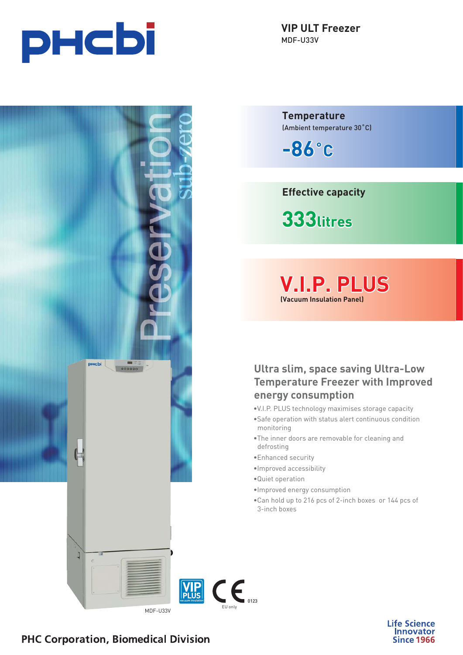



**VIP ULT Freezer** MDF-U33V

**Temperature** (Ambient temperature 30˚C)

**-86˚C**

**Effective capacity**

**333litres**

**V.I.P. PLUS (Vacuum Insulation Panel)**

**Ultra slim, space saving Ultra-Low Temperature Freezer with Improved energy consumption**

- •V.I.P. PLUS technology maximises storage capacity
- •Safe operation with status alert continuous condition monitoring
- •The inner doors are removable for cleaning and defrosting
- •Enhanced security
- •Improved accessibility
- •Quiet operation
- •Improved energy consumption
- •Can hold up to 216 pcs of 2-inch boxes or 144 pcs of 3-inch boxes



**Life Science Innovator Since 1966** 

# **PHC Corporation, Biomedical Division**